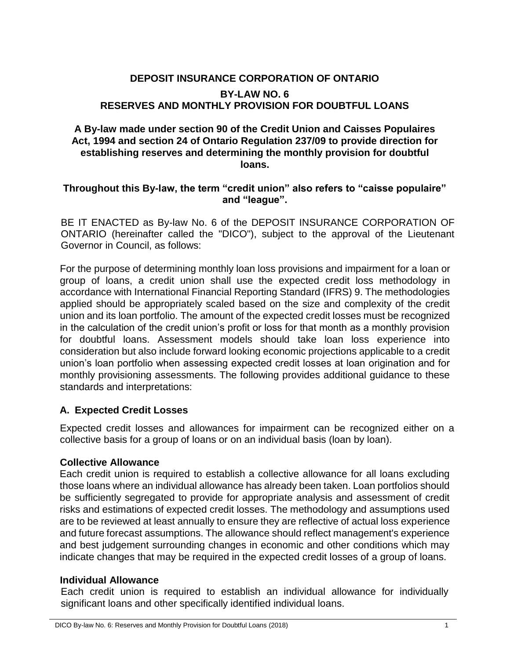# **DEPOSIT INSURANCE CORPORATION OF ONTARIO BY-LAW NO. 6 RESERVES AND MONTHLY PROVISION FOR DOUBTFUL LOANS**

## **A By-law made under section 90 of the Credit Union and Caisses Populaires Act, 1994 and section 24 of Ontario Regulation 237/09 to provide direction for establishing reserves and determining the monthly provision for doubtful loans.**

### **Throughout this By-law, the term "credit union" also refers to "caisse populaire" and "league".**

BE IT ENACTED as By-law No. 6 of the DEPOSIT INSURANCE CORPORATION OF ONTARIO (hereinafter called the "DICO"), subject to the approval of the Lieutenant Governor in Council, as follows:

For the purpose of determining monthly loan loss provisions and impairment for a loan or group of loans, a credit union shall use the expected credit loss methodology in accordance with International Financial Reporting Standard (IFRS) 9. The methodologies applied should be appropriately scaled based on the size and complexity of the credit union and its loan portfolio. The amount of the expected credit losses must be recognized in the calculation of the credit union's profit or loss for that month as a monthly provision for doubtful loans. Assessment models should take loan loss experience into consideration but also include forward looking economic projections applicable to a credit union's loan portfolio when assessing expected credit losses at loan origination and for monthly provisioning assessments. The following provides additional guidance to these standards and interpretations:

# **A. Expected Credit Losses**

Expected credit losses and allowances for impairment can be recognized either on a collective basis for a group of loans or on an individual basis (loan by loan).

### **Collective Allowance**

Each credit union is required to establish a collective allowance for all loans excluding those loans where an individual allowance has already been taken. Loan portfolios should be sufficiently segregated to provide for appropriate analysis and assessment of credit risks and estimations of expected credit losses. The methodology and assumptions used are to be reviewed at least annually to ensure they are reflective of actual loss experience and future forecast assumptions. The allowance should reflect management's experience and best judgement surrounding changes in economic and other conditions which may indicate changes that may be required in the expected credit losses of a group of loans.

### **Individual Allowance**

Each credit union is required to establish an individual allowance for individually significant loans and other specifically identified individual loans.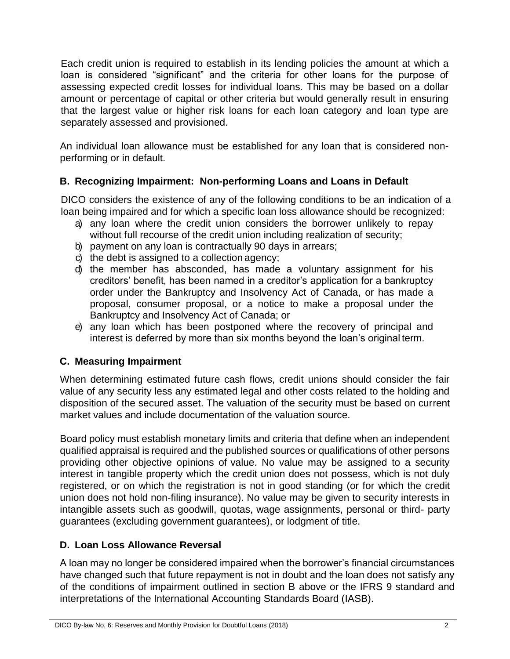Each credit union is required to establish in its lending policies the amount at which a loan is considered "significant" and the criteria for other loans for the purpose of assessing expected credit losses for individual loans. This may be based on a dollar amount or percentage of capital or other criteria but would generally result in ensuring that the largest value or higher risk loans for each loan category and loan type are separately assessed and provisioned.

An individual loan allowance must be established for any loan that is considered nonperforming or in default.

# **B. Recognizing Impairment: Non-performing Loans and Loans in Default**

DICO considers the existence of any of the following conditions to be an indication of a loan being impaired and for which a specific loan loss allowance should be recognized:

- a) any loan where the credit union considers the borrower unlikely to repay without full recourse of the credit union including realization of security;
- b) payment on any loan is contractually 90 days in arrears;
- c) the debt is assigned to a collection agency;
- d) the member has absconded, has made a voluntary assignment for his creditors' benefit, has been named in a creditor's application for a bankruptcy order under the Bankruptcy and Insolvency Act of Canada, or has made a proposal, consumer proposal, or a notice to make a proposal under the Bankruptcy and Insolvency Act of Canada; or
- e) any loan which has been postponed where the recovery of principal and interest is deferred by more than six months beyond the loan's original term.

# **C. Measuring Impairment**

When determining estimated future cash flows, credit unions should consider the fair value of any security less any estimated legal and other costs related to the holding and disposition of the secured asset. The valuation of the security must be based on current market values and include documentation of the valuation source.

Board policy must establish monetary limits and criteria that define when an independent qualified appraisal is required and the published sources or qualifications of other persons providing other objective opinions of value. No value may be assigned to a security interest in tangible property which the credit union does not possess, which is not duly registered, or on which the registration is not in good standing (or for which the credit union does not hold non-filing insurance). No value may be given to security interests in intangible assets such as goodwill, quotas, wage assignments, personal or third- party guarantees (excluding government guarantees), or lodgment of title.

# **D. Loan Loss Allowance Reversal**

A loan may no longer be considered impaired when the borrower's financial circumstances have changed such that future repayment is not in doubt and the loan does not satisfy any of the conditions of impairment outlined in section B above or the IFRS 9 standard and interpretations of the International Accounting Standards Board (IASB).